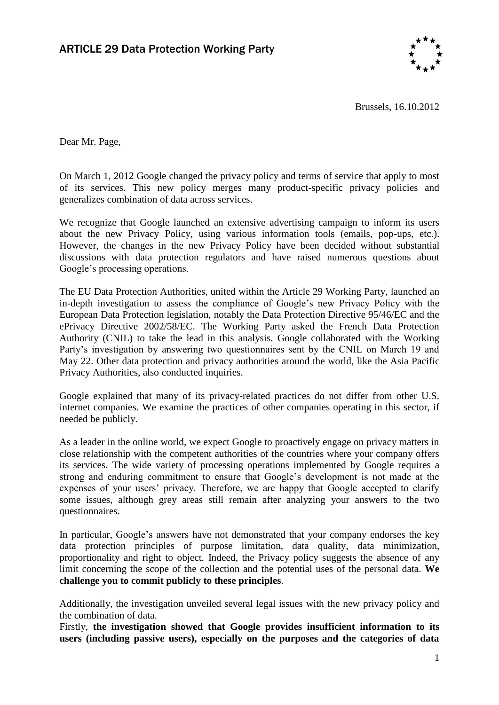

Brussels, 16.10.2012

Dear Mr. Page,

On March 1, 2012 Google changed the privacy policy and terms of service that apply to most of its services. This new policy merges many product-specific privacy policies and generalizes combination of data across services.

We recognize that Google launched an extensive advertising campaign to inform its users about the new Privacy Policy, using various information tools (emails, pop-ups, etc.). However, the changes in the new Privacy Policy have been decided without substantial discussions with data protection regulators and have raised numerous questions about Google's processing operations.

The EU Data Protection Authorities, united within the Article 29 Working Party, launched an in-depth investigation to assess the compliance of Google's new Privacy Policy with the European Data Protection legislation, notably the Data Protection Directive 95/46/EC and the ePrivacy Directive 2002/58/EC. The Working Party asked the French Data Protection Authority (CNIL) to take the lead in this analysis. Google collaborated with the Working Party's investigation by answering two questionnaires sent by the CNIL on March 19 and May 22. Other data protection and privacy authorities around the world, like the Asia Pacific Privacy Authorities, also conducted inquiries.

Google explained that many of its privacy-related practices do not differ from other U.S. internet companies. We examine the practices of other companies operating in this sector, if needed be publicly.

As a leader in the online world, we expect Google to proactively engage on privacy matters in close relationship with the competent authorities of the countries where your company offers its services. The wide variety of processing operations implemented by Google requires a strong and enduring commitment to ensure that Google's development is not made at the expenses of your users' privacy. Therefore, we are happy that Google accepted to clarify some issues, although grey areas still remain after analyzing your answers to the two questionnaires.

In particular, Google's answers have not demonstrated that your company endorses the key data protection principles of purpose limitation, data quality, data minimization, proportionality and right to object. Indeed, the Privacy policy suggests the absence of any limit concerning the scope of the collection and the potential uses of the personal data. **We challenge you to commit publicly to these principles**.

Additionally, the investigation unveiled several legal issues with the new privacy policy and the combination of data.

Firstly, **the investigation showed that Google provides insufficient information to its users (including passive users), especially on the purposes and the categories of data**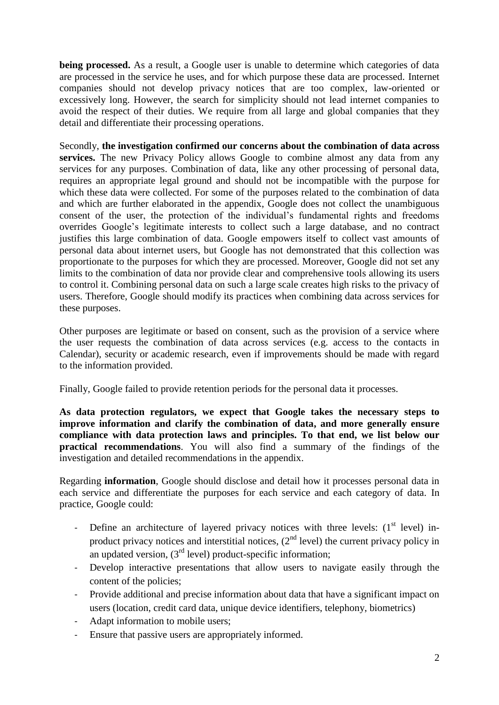**being processed.** As a result, a Google user is unable to determine which categories of data are processed in the service he uses, and for which purpose these data are processed. Internet companies should not develop privacy notices that are too complex, law-oriented or excessively long. However, the search for simplicity should not lead internet companies to avoid the respect of their duties. We require from all large and global companies that they detail and differentiate their processing operations.

Secondly, **the investigation confirmed our concerns about the combination of data across services.** The new Privacy Policy allows Google to combine almost any data from any services for any purposes. Combination of data, like any other processing of personal data, requires an appropriate legal ground and should not be incompatible with the purpose for which these data were collected. For some of the purposes related to the combination of data and which are further elaborated in the appendix, Google does not collect the unambiguous consent of the user, the protection of the individual's fundamental rights and freedoms overrides Google's legitimate interests to collect such a large database, and no contract justifies this large combination of data. Google empowers itself to collect vast amounts of personal data about internet users, but Google has not demonstrated that this collection was proportionate to the purposes for which they are processed. Moreover, Google did not set any limits to the combination of data nor provide clear and comprehensive tools allowing its users to control it. Combining personal data on such a large scale creates high risks to the privacy of users. Therefore, Google should modify its practices when combining data across services for these purposes.

Other purposes are legitimate or based on consent, such as the provision of a service where the user requests the combination of data across services (e.g. access to the contacts in Calendar), security or academic research, even if improvements should be made with regard to the information provided.

Finally, Google failed to provide retention periods for the personal data it processes.

**As data protection regulators, we expect that Google takes the necessary steps to improve information and clarify the combination of data, and more generally ensure compliance with data protection laws and principles. To that end, we list below our practical recommendations**. You will also find a summary of the findings of the investigation and detailed recommendations in the appendix.

Regarding **information**, Google should disclose and detail how it processes personal data in each service and differentiate the purposes for each service and each category of data. In practice, Google could:

- Define an architecture of layered privacy notices with three levels:  $(1<sup>st</sup> level)$  inproduct privacy notices and interstitial notices,  $(2^{nd}$  level) the current privacy policy in an updated version,  $(3<sup>rd</sup> level)$  product-specific information;
- Develop interactive presentations that allow users to navigate easily through the content of the policies;
- Provide additional and precise information about data that have a significant impact on users (location, credit card data, unique device identifiers, telephony, biometrics)
- Adapt information to mobile users;
- Ensure that passive users are appropriately informed.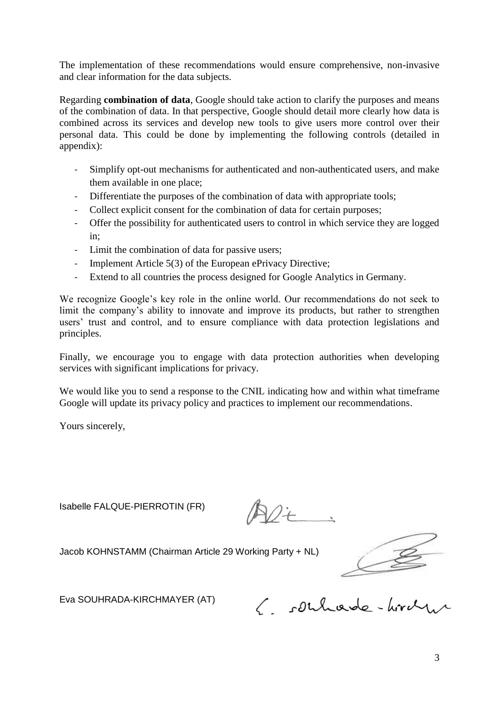The implementation of these recommendations would ensure comprehensive, non-invasive and clear information for the data subjects.

Regarding **combination of data**, Google should take action to clarify the purposes and means of the combination of data. In that perspective, Google should detail more clearly how data is combined across its services and develop new tools to give users more control over their personal data. This could be done by implementing the following controls (detailed in appendix):

- Simplify opt-out mechanisms for authenticated and non-authenticated users, and make them available in one place;
- Differentiate the purposes of the combination of data with appropriate tools;
- Collect explicit consent for the combination of data for certain purposes;
- Offer the possibility for authenticated users to control in which service they are logged in;
- Limit the combination of data for passive users;
- Implement Article 5(3) of the European ePrivacy Directive;
- Extend to all countries the process designed for Google Analytics in Germany.

We recognize Google's key role in the online world. Our recommendations do not seek to limit the company's ability to innovate and improve its products, but rather to strengthen users' trust and control, and to ensure compliance with data protection legislations and principles.

Finally, we encourage you to engage with data protection authorities when developing services with significant implications for privacy.

We would like you to send a response to the CNIL indicating how and within what timeframe Google will update its privacy policy and practices to implement our recommendations.

Yours sincerely,

Isabelle FALQUE-PIERROTIN (FR)

Jacob KOHNSTAMM (Chairman Article 29 Working Party + NL)

Eva SOUHRADA-KIRCHMAYER (AT)

E. souhade-hirde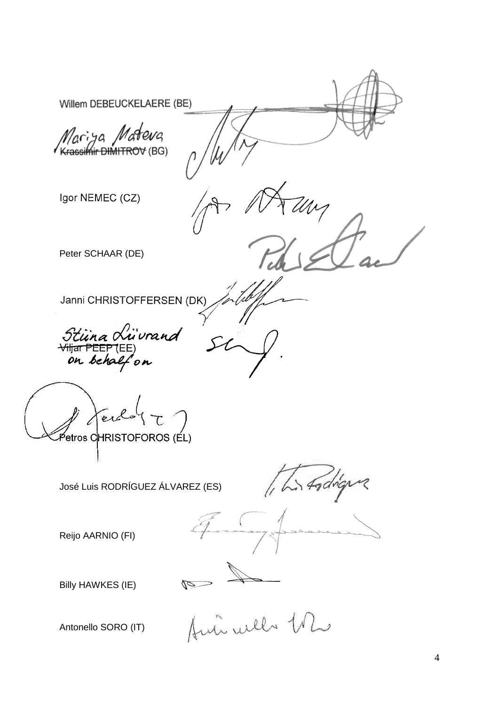Willem DEBEUCKELAERE (BE) Mariya Mateva<br>Krassimir DIMITROV (BG) Igor NEMEC (CZ) Peter SCHAAR (DE) Janni CHRISTOFFERSEN (DK) Stiina Luivrana<br><del>Viljar PEEP</del> (EE)<br>on behalf on <sup>2</sup>etros CHRISTOFOROS (ÉL) Stodigue José Luis RODRÍGUEZ ÁLVAREZ (ES) Reijo AARNIO (FI) Billy HAWKES (IE) de mi well the Antonello SORO (IT)

4